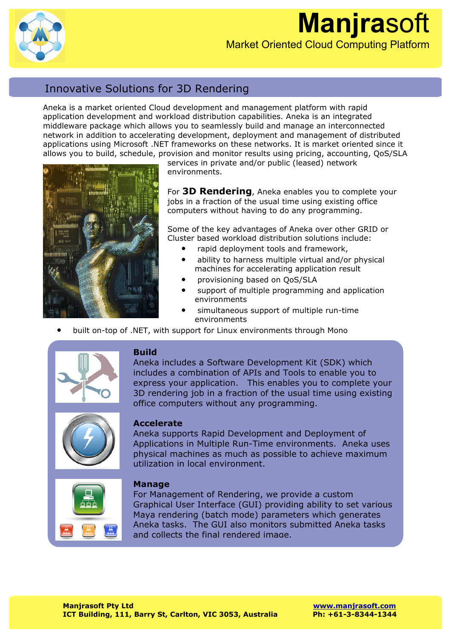

## **Manjra**soft Market Oriented Cloud Computing Platform

### Innovative Solutions for 3D Rendering

Aneka is a market oriented Cloud development and management platform with rapid application development and workload distribution capabilities. Aneka is an integrated middleware package which allows you to seamlessly build and manage an interconnected network in addition to accelerating development, deployment and management of distributed applications using Microsoft .NET frameworks on these networks. It is market oriented since it allows you to build, schedule, provision and monitor results using pricing, accounting, QoS/SLA



services in private and/or public (leased) network environments.

For **3D Rendering**, Aneka enables you to complete your jobs in a fraction of the usual time using existing office computers without having to do any programming.

Some of the key advantages of Aneka over other GRID or Cluster based workload distribution solutions include:

- rapid deployment tools and framework,
- ability to harness multiple virtual and/or physical machines for accelerating application result
- provisioning based on QoS/SLA
- support of multiple programming and application environments
- simultaneous support of multiple run-time environments
- built on-top of .NET, with support for Linux environments through Mono



#### **Build**

Aneka includes a Software Development Kit (SDK) which includes a combination of APIs and Tools to enable you to express your application. This enables you to complete your 3D rendering job in a fraction of the usual time using existing office computers without any programming.



#### **Accelerate**

Aneka supports Rapid Development and Deployment of Applications in Multiple Run-Time environments. Aneka uses physical machines as much as possible to achieve maximum utilization in local environment.



For Management of Rendering, we provide a custom Graphical User Interface (GUI) providing ability to set various Maya rendering (batch mode) parameters which generates Aneka tasks. The GUI also monitors submitted Aneka tasks and collects the final rendered image.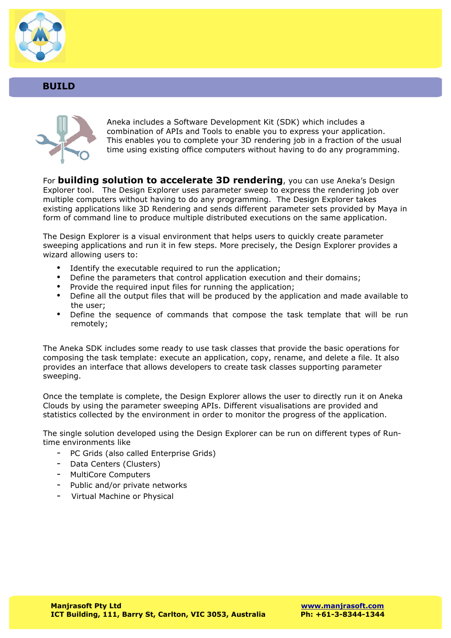

#### **BUILD**



Aneka includes a Software Development Kit (SDK) which includes a combination of APIs and Tools to enable you to express your application. This enables you to complete your 3D rendering job in a fraction of the usual time using existing office computers without having to do any programming.

For **building solution to accelerate 3D rendering**, you can use Aneka's Design Explorer tool. The Design Explorer uses parameter sweep to express the rendering job over multiple computers without having to do any programming. The Design Explorer takes existing applications like 3D Rendering and sends different parameter sets provided by Maya in form of command line to produce multiple distributed executions on the same application.

The Design Explorer is a visual environment that helps users to quickly create parameter sweeping applications and run it in few steps. More precisely, the Design Explorer provides a wizard allowing users to:

- Identify the executable required to run the application;
- Define the parameters that control application execution and their domains;
- Provide the required input files for running the application;<br>• Define all the output files that will be produced by the appl
- Define all the output files that will be produced by the application and made available to the user;
- Define the sequence of commands that compose the task template that will be run remotely;

The Aneka SDK includes some ready to use task classes that provide the basic operations for composing the task template: execute an application, copy, rename, and delete a file. It also provides an interface that allows developers to create task classes supporting parameter sweeping.

Once the template is complete, the Design Explorer allows the user to directly run it on Aneka Clouds by using the parameter sweeping APIs. Different visualisations are provided and statistics collected by the environment in order to monitor the progress of the application.

The single solution developed using the Design Explorer can be run on different types of Runtime environments like

- PC Grids (also called Enterprise Grids)
- Data Centers (Clusters)
- MultiCore Computers
- Public and/or private networks
- Virtual Machine or Physical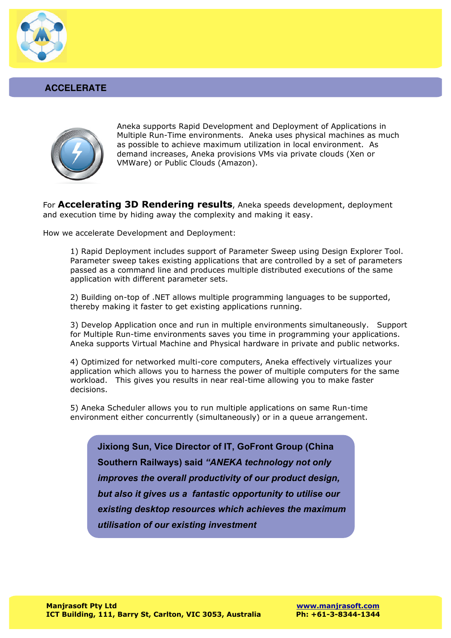

#### **ACCELERATE**



Aneka supports Rapid Development and Deployment of Applications in Multiple Run-Time environments. Aneka uses physical machines as much as possible to achieve maximum utilization in local environment. As demand increases, Aneka provisions VMs via private clouds (Xen or VMWare) or Public Clouds (Amazon).

For **Accelerating 3D Rendering results**, Aneka speeds development, deployment and execution time by hiding away the complexity and making it easy.

How we accelerate Development and Deployment:

1) Rapid Deployment includes support of Parameter Sweep using Design Explorer Tool. Parameter sweep takes existing applications that are controlled by a set of parameters passed as a command line and produces multiple distributed executions of the same application with different parameter sets.

2) Building on-top of .NET allows multiple programming languages to be supported, thereby making it faster to get existing applications running.

3) Develop Application once and run in multiple environments simultaneously. Support for Multiple Run-time environments saves you time in programming your applications. Aneka supports Virtual Machine and Physical hardware in private and public networks.

4) Optimized for networked multi-core computers, Aneka effectively virtualizes your application which allows you to harness the power of multiple computers for the same workload. This gives you results in near real-time allowing you to make faster decisions.

5) Aneka Scheduler allows you to run multiple applications on same Run-time environment either concurrently (simultaneously) or in a queue arrangement.

**Jixiong Sun, Vice Director of IT, GoFront Group (China Southern Railways) said** *"ANEKA technology not only improves the overall productivity of our product design, but also it gives us a fantastic opportunity to utilise our existing desktop resources which achieves the maximum utilisation of our existing investment*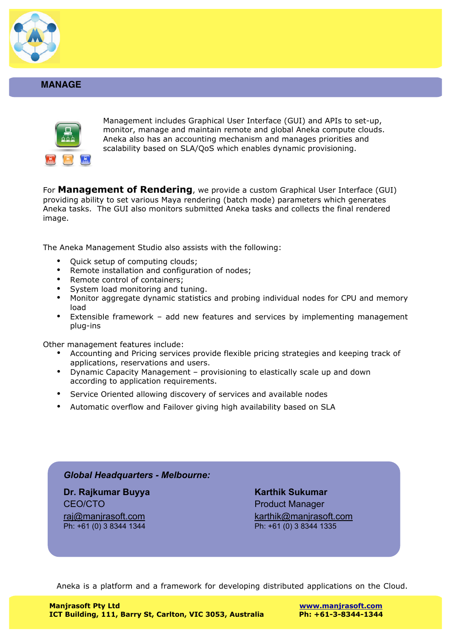

#### **MANAGE**



Management includes Graphical User Interface (GUI) and APIs to set-up, monitor, manage and maintain remote and global Aneka compute clouds. Aneka also has an accounting mechanism and manages priorities and scalability based on SLA/QoS which enables dynamic provisioning.

For **Management of Rendering**, we provide a custom Graphical User Interface (GUI) providing ability to set various Maya rendering (batch mode) parameters which generates Aneka tasks. The GUI also monitors submitted Aneka tasks and collects the final rendered image.

The Aneka Management Studio also assists with the following:

- Quick setup of computing clouds;
- Remote installation and configuration of nodes;
- Remote control of containers;
- System load monitoring and tuning.
- Monitor aggregate dynamic statistics and probing individual nodes for CPU and memory load
- Extensible framework add new features and services by implementing management plug-ins

Other management features include:

- Accounting and Pricing services provide flexible pricing strategies and keeping track of applications, reservations and users.
- Dynamic Capacity Management provisioning to elastically scale up and down according to application requirements.
- Service Oriented allowing discovery of services and available nodes
- Automatic overflow and Failover giving high availability based on SLA

#### *Global Headquarters - Melbourne:*

**Dr. Rajkumar Buyya** Karthik Sukumar **Karthik Sukumar** CEO/CTO **Product Manager** Ph: +61 (0) 3 8344 1344 Ph: +61 (0) 3 8344 1335

raj@manjrasoft.com karthik@manjrasoft.com

Aneka is a platform and a framework for developing distributed applications on the Cloud.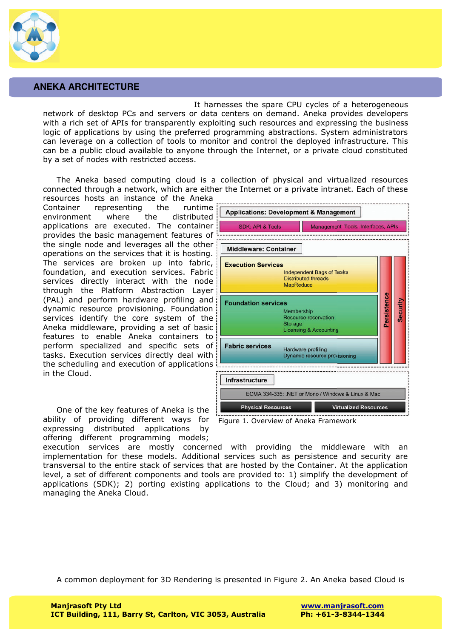

#### **ANEKA ARCHITECTURE**

It harnesses the spare CPU cycles of a heterogeneous network of desktop PCs and servers or data centers on demand. Aneka provides developers with a rich set of APIs for transparently exploiting such resources and expressing the business logic of applications by using the preferred programming abstractions. System administrators can leverage on a collection of tools to monitor and control the deployed infrastructure. This can be a public cloud available to anyone through the Internet, or a private cloud constituted by a set of nodes with restricted access.

The Aneka based computing cloud is a collection of physical and virtualized resources connected through a network, which are either the Internet or a private intranet. Each of these

resources hosts an instance of the Aneka Container representing the runtime environment where the distributed applications are executed. The container provides the basic management features of the single node and leverages all the other operations on the services that it is hosting. The services are broken up into fabric, foundation, and execution services. Fabric services directly interact with the node through the Platform Abstraction Layer (PAL) and perform hardware profiling and dynamic resource provisioning. Foundation services identify the core system of the Aneka middleware, providing a set of basic features to enable Aneka containers to perform specialized and specific sets of tasks. Execution services directly deal with the scheduling and execution of applications in the Cloud.

One of the key features of Aneka is the ability of providing different ways for expressing distributed applications by offering different programming models;



Figure 1. Overview of Aneka Framework

execution services are mostly concerned with providing the middleware with an implementation for these models. Additional services such as persistence and security are transversal to the entire stack of services that are hosted by the Container. At the application level, a set of different components and tools are provided to: 1) simplify the development of applications (SDK); 2) porting existing applications to the Cloud; and 3) monitoring and managing the Aneka Cloud.

A common deployment for 3D Rendering is presented in Figure 2. An Aneka based Cloud is